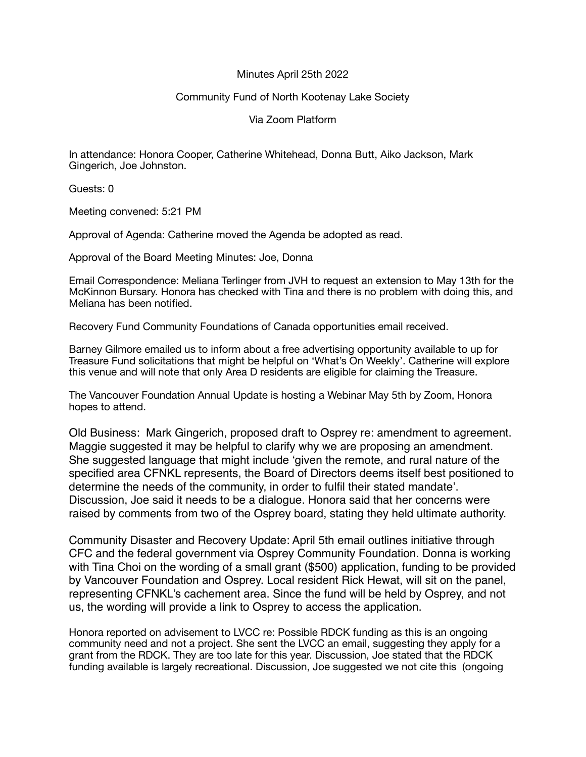## Minutes April 25th 2022

## Community Fund of North Kootenay Lake Society

Via Zoom Platform

In attendance: Honora Cooper, Catherine Whitehead, Donna Butt, Aiko Jackson, Mark Gingerich, Joe Johnston.

Guests: 0

Meeting convened: 5:21 PM

Approval of Agenda: Catherine moved the Agenda be adopted as read.

Approval of the Board Meeting Minutes: Joe, Donna

Email Correspondence: Meliana Terlinger from JVH to request an extension to May 13th for the McKinnon Bursary. Honora has checked with Tina and there is no problem with doing this, and Meliana has been notified.

Recovery Fund Community Foundations of Canada opportunities email received.

Barney Gilmore emailed us to inform about a free advertising opportunity available to up for Treasure Fund solicitations that might be helpful on 'What's On Weekly'. Catherine will explore this venue and will note that only Area D residents are eligible for claiming the Treasure.

The Vancouver Foundation Annual Update is hosting a Webinar May 5th by Zoom, Honora hopes to attend.

Old Business: Mark Gingerich, proposed draft to Osprey re: amendment to agreement. Maggie suggested it may be helpful to clarify why we are proposing an amendment. She suggested language that might include 'given the remote, and rural nature of the specified area CFNKL represents, the Board of Directors deems itself best positioned to determine the needs of the community, in order to fulfil their stated mandate'. Discussion, Joe said it needs to be a dialogue. Honora said that her concerns were raised by comments from two of the Osprey board, stating they held ultimate authority.

Community Disaster and Recovery Update: April 5th email outlines initiative through CFC and the federal government via Osprey Community Foundation. Donna is working with Tina Choi on the wording of a small grant (\$500) application, funding to be provided by Vancouver Foundation and Osprey. Local resident Rick Hewat, will sit on the panel, representing CFNKL's cachement area. Since the fund will be held by Osprey, and not us, the wording will provide a link to Osprey to access the application.

Honora reported on advisement to LVCC re: Possible RDCK funding as this is an ongoing community need and not a project. She sent the LVCC an email, suggesting they apply for a grant from the RDCK. They are too late for this year. Discussion, Joe stated that the RDCK funding available is largely recreational. Discussion, Joe suggested we not cite this (ongoing